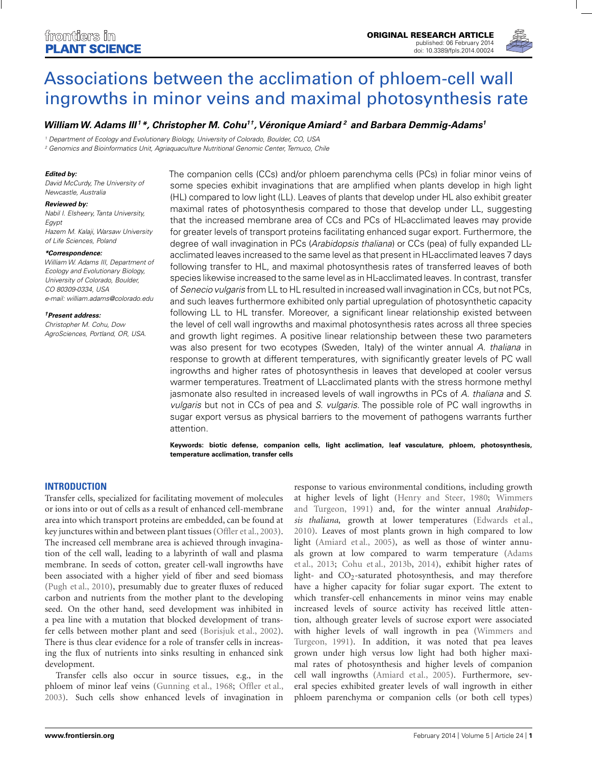

# Associations between the acclimation of phloem-cell wall [ingrowths in minor veins and maximal photosynthesis rate](http://www.frontiersin.org/journal/10.3389/fpls.2014.00024/abstract)

# *[WilliamW. Adams III](http://www.frontiersin.org/people/u/84948) 1\*, [Christopher M. Cohu1](http://www.frontiersin.org/people/u/90619) †, [Véronique Amiard](http://www.frontiersin.org/people/u/124896) <sup>2</sup> and [Barbara Demmig-Adams1](http://www.frontiersin.org/people/u/97419)*

<sup>1</sup> Department of Ecology and Evolutionary Biology, University of Colorado, Boulder, CO, USA

<sup>2</sup> Genomics and Bioinformatics Unit, Agriaquaculture Nutritional Genomic Center, Temuco, Chile

#### *Edited by:*

David McCurdy, The University of Newcastle, Australia

#### *Reviewed by:*

Nabil I. Elsheery, Tanta University, Egypt Hazem M. Kalaji, Warsaw University of Life Sciences, Poland

#### *\*Correspondence:*

William W. Adams III, Department of Ecology and Evolutionary Biology, University of Colorado, Boulder, CO 80309-0334, USA e-mail: [william.adams@colorado.edu](mailto:william.adams@colorado.edu)

*†Present address:* Christopher M. Cohu, Dow AgroSciences, Portland, OR, USA. The companion cells (CCs) and/or phloem parenchyma cells (PCs) in foliar minor veins of some species exhibit invaginations that are amplified when plants develop in high light (HL) compared to low light (LL). Leaves of plants that develop under HL also exhibit greater maximal rates of photosynthesis compared to those that develop under LL, suggesting that the increased membrane area of CCs and PCs of HL-acclimated leaves may provide for greater levels of transport proteins facilitating enhanced sugar export. Furthermore, the degree of wall invagination in PCs (Arabidopsis thaliana) or CCs (pea) of fully expanded LLacclimated leaves increased to the same level as that present in HL-acclimated leaves 7 days following transfer to HL, and maximal photosynthesis rates of transferred leaves of both species likewise increased to the same level as in HL-acclimated leaves. In contrast, transfer of Senecio vulgaris from LL to HL resulted in increased wall invagination in CCs, but not PCs, and such leaves furthermore exhibited only partial upregulation of photosynthetic capacity following LL to HL transfer. Moreover, a significant linear relationship existed between the level of cell wall ingrowths and maximal photosynthesis rates across all three species and growth light regimes. A positive linear relationship between these two parameters was also present for two ecotypes (Sweden, Italy) of the winter annual A. thaliana in response to growth at different temperatures, with significantly greater levels of PC wall ingrowths and higher rates of photosynthesis in leaves that developed at cooler versus warmer temperatures. Treatment of LL-acclimated plants with the stress hormone methyl jasmonate also resulted in increased levels of wall ingrowths in PCs of A. thaliana and S. vulgaris but not in CCs of pea and S. vulgaris. The possible role of PC wall ingrowths in sugar export versus as physical barriers to the movement of pathogens warrants further attention.

**Keywords: biotic defense, companion cells, light acclimation, leaf vasculature, phloem, photosynthesis, temperature acclimation, transfer cells**

## **INTRODUCTION**

Transfer cells, specialized for facilitating movement of molecules or ions into or out of cells as a result of enhanced cell-membrane area into which transport proteins are embedded, can be found at key junctures within and between plant tissues (Offler et al., 2003). The increased cell membrane area is achieved through invagination of the cell wall, leading to a labyrinth of wall and plasma membrane. In seeds of cotton, greater cell-wall ingrowths have been associated with a higher yield of fiber and seed biomass (Pugh et al., 2010), presumably due to greater fluxes of reduced carbon and nutrients from the mother plant to the developing seed. On the other hand, seed development was inhibited in a pea line with a mutation that blocked development of transfer cells between mother plant and seed (Borisjuk et al., 2002). There is thus clear evidence for a role of transfer cells in increasing the flux of nutrients into sinks resulting in enhanced sink development.

Transfer cells also occur in source tissues, e.g., in the phloem of minor leaf veins (Gunning et al., 1968; Offler et al., 2003). Such cells show enhanced levels of invagination in response to various environmental conditions, including growth at higher levels of light (Henry and Steer, 1980; Wimmers and Turgeon, 1991) and, for the winter annual *Arabidopsis thaliana*, growth at lower temperatures (Edwards et al., 2010). Leaves of most plants grown in high compared to low light (Amiard et al., 2005), as well as those of winter annuals grown at low compared to warm temperature (Adams et al., 2013; Cohu et al., 2013b, 2014), exhibit higher rates of light- and CO2-saturated photosynthesis, and may therefore have a higher capacity for foliar sugar export. The extent to which transfer-cell enhancements in minor veins may enable increased levels of source activity has received little attention, although greater levels of sucrose export were associated with higher levels of wall ingrowth in pea (Wimmers and Turgeon, 1991). In addition, it was noted that pea leaves grown under high versus low light had both higher maximal rates of photosynthesis and higher levels of companion cell wall ingrowths (Amiard et al., 2005). Furthermore, several species exhibited greater levels of wall ingrowth in either phloem parenchyma or companion cells (or both cell types)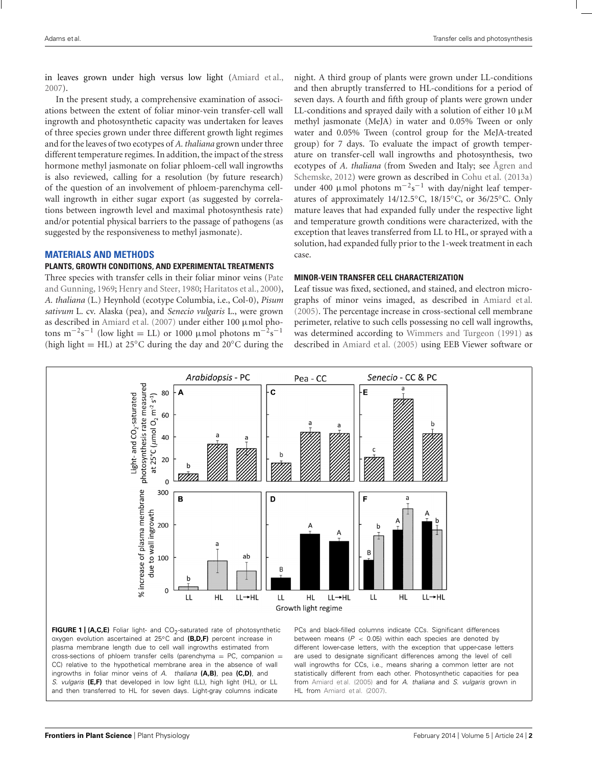in leaves grown under high versus low light (Amiard et al., 2007).

In the present study, a comprehensive examination of associations between the extent of foliar minor-vein transfer-cell wall ingrowth and photosynthetic capacity was undertaken for leaves of three species grown under three different growth light regimes and for the leaves of two ecotypes of *A. thaliana* grown under three different temperature regimes. In addition, the impact of the stress hormone methyl jasmonate on foliar phloem-cell wall ingrowths is also reviewed, calling for a resolution (by future research) of the question of an involvement of phloem-parenchyma cellwall ingrowth in either sugar export (as suggested by correlations between ingrowth level and maximal photosynthesis rate) and/or potential physical barriers to the passage of pathogens (as suggested by the responsiveness to methyl jasmonate).

#### **MATERIALS AND METHODS**

## **PLANTS, GROWTH CONDITIONS, AND EXPERIMENTAL TREATMENTS**

Three species with transfer cells in their foliar minor veins (Pate and Gunning, 1969; Henry and Steer, 1980; Haritatos et al., 2000), *A. thaliana* (L.) Heynhold (ecotype Columbia, i.e., Col-0), *Pisum sativum* L. cv. Alaska (pea), and *Senecio vulgaris* L., were grown as described in Amiard et al. (2007) under either 100 μmol photons m<sup>-2</sup>s<sup>-1</sup> (low light = LL) or 1000 μmol photons m<sup>-2</sup>s<sup>-1</sup> (high light = HL) at 25 $\degree$ C during the day and 20 $\degree$ C during the night. A third group of plants were grown under LL-conditions and then abruptly transferred to HL-conditions for a period of seven days. A fourth and fifth group of plants were grown under LL-conditions and sprayed daily with a solution of either 10  $\mu$ M methyl jasmonate (MeJA) in water and 0.05% Tween or only water and 0.05% Tween (control group for the MeJA-treated group) for 7 days. To evaluate the impact of growth temperature on transfer-cell wall ingrowths and photosynthesis, two ecotypes of *A. thaliana* (from Sweden and Italy; see Ågren and Schemske, 2012) were grown as described in Cohu et al. (2013a) under 400 µmol photons  $m^{-2}s^{-1}$  with day/night leaf temperatures of approximately 14/12.5◦C, 18/15◦C, or 36/25◦C. Only mature leaves that had expanded fully under the respective light and temperature growth conditions were characterized, with the exception that leaves transferred from LL to HL, or sprayed with a solution, had expanded fully prior to the 1-week treatment in each case.

## **MINOR-VEIN TRANSFER CELL CHARACTERIZATION**

Leaf tissue was fixed, sectioned, and stained, and electron micrographs of minor veins imaged, as described in Amiard et al. (2005). The percentage increase in cross-sectional cell membrane perimeter, relative to such cells possessing no cell wall ingrowths, was determined according to Wimmers and Turgeon (1991) as described in Amiard et al. (2005) using EEB Viewer software or



**FIGURE 1 | (A,C,E)** Foliar light- and CO<sub>2</sub>-saturated rate of photosynthetic oxygen evolution ascertained at 25◦C and **(B,D,F)** percent increase in plasma membrane length due to cell wall ingrowths estimated from cross-sections of phloem transfer cells (parenchyma = PC, companion = CC) relative to the hypothetical membrane area in the absence of wall ingrowths in foliar minor veins of A. thaliana **(A,B)**, pea **(C,D)**, and S. vulgaris **(E,F)** that developed in low light (LL), high light (HL), or LL and then transferred to HL for seven days. Light-gray columns indicate

PCs and black-filled columns indicate CCs. Significant differences between means ( $P < 0.05$ ) within each species are denoted by different lower-case letters, with the exception that upper-case letters are used to designate significant differences among the level of cell wall ingrowths for CCs, i.e., means sharing a common letter are not statistically different from each other. Photosynthetic capacities for pea from Amiard et al. (2005) and for A. thaliana and S. vulgaris grown in HL from Amiard et al. (2007).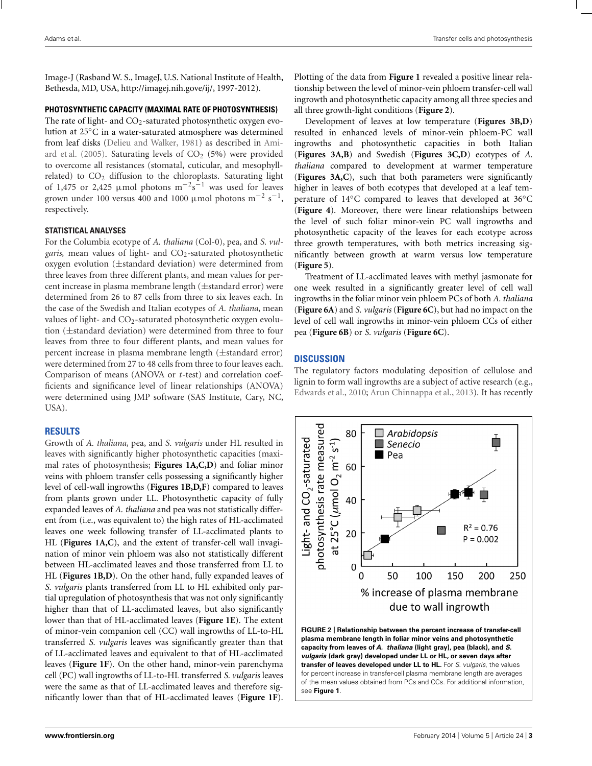Image-J (Rasband W. S., ImageJ, U.S. National Institute of Health, Bethesda, MD, USA, [http://imagej.nih.gove/ij/, 1997-2012\)](http://imagej.nih.gove/ij/, 1997-2012).

## **PHOTOSYNTHETIC CAPACITY (MAXIMAL RATE OF PHOTOSYNTHESIS)**

The rate of light- and  $CO_2$ -saturated photosynthetic oxygen evolution at 25◦C in a water-saturated atmosphere was determined from leaf disks (Delieu and Walker, 1981) as described in Amiard et al. (2005). Saturating levels of  $CO<sub>2</sub>$  (5%) were provided to overcome all resistances (stomatal, cuticular, and mesophyllrelated) to  $CO<sub>2</sub>$  diffusion to the chloroplasts. Saturating light of 1,475 or 2,425 µmol photons  $m^{-2}s^{-1}$  was used for leaves grown under 100 versus 400 and 1000 µmol photons m<sup>-2</sup> s<sup>-1</sup>, respectively.

## **STATISTICAL ANALYSES**

For the Columbia ecotype of *A. thaliana* (Col-0), pea, and *S. vul*garis, mean values of light- and CO<sub>2</sub>-saturated photosynthetic oxygen evolution (±standard deviation) were determined from three leaves from three different plants, and mean values for percent increase in plasma membrane length (±standard error) were determined from 26 to 87 cells from three to six leaves each. In the case of the Swedish and Italian ecotypes of *A. thaliana*, mean values of light- and  $CO_2$ -saturated photosynthetic oxygen evolution (±standard deviation) were determined from three to four leaves from three to four different plants, and mean values for percent increase in plasma membrane length (±standard error) were determined from 27 to 48 cells from three to four leaves each. Comparison of means (ANOVA or *t*-test) and correlation coefficients and significance level of linear relationships (ANOVA) were determined using JMP software (SAS Institute, Cary, NC, USA).

## **RESULTS**

Growth of *A. thaliana*, pea, and *S. vulgaris* under HL resulted in leaves with significantly higher photosynthetic capacities (maximal rates of photosynthesis; **Figures 1A,C,D**) and foliar minor veins with phloem transfer cells possessing a significantly higher level of cell-wall ingrowths (**Figures 1B,D,F**) compared to leaves from plants grown under LL. Photosynthetic capacity of fully expanded leaves of *A. thaliana* and pea was not statistically different from (i.e., was equivalent to) the high rates of HL-acclimated leaves one week following transfer of LL-acclimated plants to HL (**Figures 1A,C**), and the extent of transfer-cell wall invagination of minor vein phloem was also not statistically different between HL-acclimated leaves and those transferred from LL to HL (**Figures 1B,D**). On the other hand, fully expanded leaves of *S. vulgaris* plants transferred from LL to HL exhibited only partial upregulation of photosynthesis that was not only significantly higher than that of LL-acclimated leaves, but also significantly lower than that of HL-acclimated leaves (**Figure 1E**). The extent of minor-vein companion cell (CC) wall ingrowths of LL-to-HL transferred *S. vulgaris* leaves was significantly greater than that of LL-acclimated leaves and equivalent to that of HL-acclimated leaves (**Figure 1F**). On the other hand, minor-vein parenchyma cell (PC) wall ingrowths of LL-to-HL transferred *S. vulgaris* leaves were the same as that of LL-acclimated leaves and therefore significantly lower than that of HL-acclimated leaves (**Figure 1F**).

Plotting of the data from **Figure 1** revealed a positive linear relationship between the level of minor-vein phloem transfer-cell wall ingrowth and photosynthetic capacity among all three species and all three growth-light conditions (**Figure 2**).

Development of leaves at low temperature (**Figures 3B,D**) resulted in enhanced levels of minor-vein phloem-PC wall ingrowths and photosynthetic capacities in both Italian (**Figures 3A,B**) and Swedish (**Figures 3C,D**) ecotypes of *A. thaliana* compared to development at warmer temperature (**Figures 3A,C**), such that both parameters were significantly higher in leaves of both ecotypes that developed at a leaf temperature of 14◦C compared to leaves that developed at 36◦C (**Figure 4**). Moreover, there were linear relationships between the level of such foliar minor-vein PC wall ingrowths and photosynthetic capacity of the leaves for each ecotype across three growth temperatures, with both metrics increasing significantly between growth at warm versus low temperature (**Figure 5**).

Treatment of LL-acclimated leaves with methyl jasmonate for one week resulted in a significantly greater level of cell wall ingrowths in the foliar minor vein phloem PCs of both *A. thaliana* (**Figure 6A**) and *S. vulgaris* (**Figure 6C**), but had no impact on the level of cell wall ingrowths in minor-vein phloem CCs of either pea (**Figure 6B**) or *S. vulgaris* (**Figure 6C**).

# **DISCUSSION**

The regulatory factors modulating deposition of cellulose and lignin to form wall ingrowths are a subject of active research (e.g., Edwards et al., 2010; Arun Chinnappa et al., 2013). It has recently

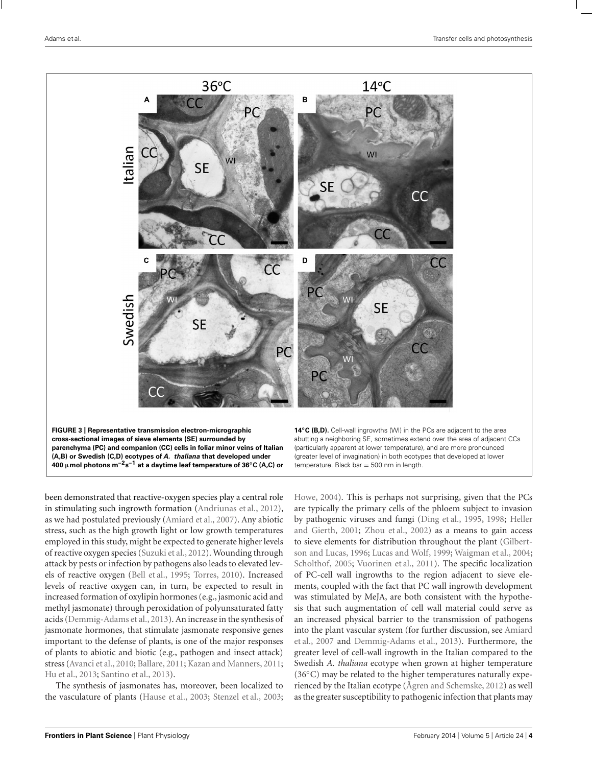

**cross-sectional images of sieve elements (SE) surrounded by parenchyma (PC) and companion (CC) cells in foliar minor veins of Italian (A,B) or Swedish (C,D) ecotypes of** *A. thaliana* **that developed under 400 μmol photons m–2s–1 at a daytime leaf temperature of 36◦C (A,C) or**

abutting a neighboring SE, sometimes extend over the area of adjacent CCs (particularly apparent at lower temperature), and are more pronounced (greater level of invagination) in both ecotypes that developed at lower  $temperature.$  Black bar  $=$  500 nm in length.

been demonstrated that reactive-oxygen species play a central role in stimulating such ingrowth formation (Andriunas et al., 2012), as we had postulated previously (Amiard et al., 2007). Any abiotic stress, such as the high growth light or low growth temperatures employed in this study, might be expected to generate higher levels of reactive oxygen species (Suzuki et al., 2012). Wounding through attack by pests or infection by pathogens also leads to elevated levels of reactive oxygen (Bell et al., 1995; Torres, 2010). Increased levels of reactive oxygen can, in turn, be expected to result in increased formation of oxylipin hormones (e.g., jasmonic acid and methyl jasmonate) through peroxidation of polyunsaturated fatty acids (Demmig-Adams et al., 2013). An increase in the synthesis of jasmonate hormones, that stimulate jasmonate responsive genes important to the defense of plants, is one of the major responses of plants to abiotic and biotic (e.g., pathogen and insect attack) stress (Avanci et al., 2010; Ballare, 2011; Kazan and Manners, 2011; Hu et al., 2013; Santino et al., 2013).

The synthesis of jasmonates has, moreover, been localized to the vasculature of plants (Hause et al., 2003; Stenzel et al., 2003; Howe, 2004). This is perhaps not surprising, given that the PCs are typically the primary cells of the phloem subject to invasion by pathogenic viruses and fungi (Ding et al., 1995, 1998; Heller and Gierth, 2001; Zhou et al., 2002) as a means to gain access to sieve elements for distribution throughout the plant (Gilbertson and Lucas, 1996; Lucas and Wolf, 1999; Waigman et al., 2004; Scholthof, 2005; Vuorinen et al., 2011). The specific localization of PC-cell wall ingrowths to the region adjacent to sieve elements, coupled with the fact that PC wall ingrowth development was stimulated by MeJA, are both consistent with the hypothesis that such augmentation of cell wall material could serve as an increased physical barrier to the transmission of pathogens into the plant vascular system (for further discussion, see Amiard et al., 2007 and Demmig-Adams et al., 2013). Furthermore, the greater level of cell-wall ingrowth in the Italian compared to the Swedish *A. thaliana* ecotype when grown at higher temperature (36◦C) may be related to the higher temperatures naturally experienced by the Italian ecotype (Ågren and Schemske, 2012) as well as the greater susceptibility to pathogenic infection that plants may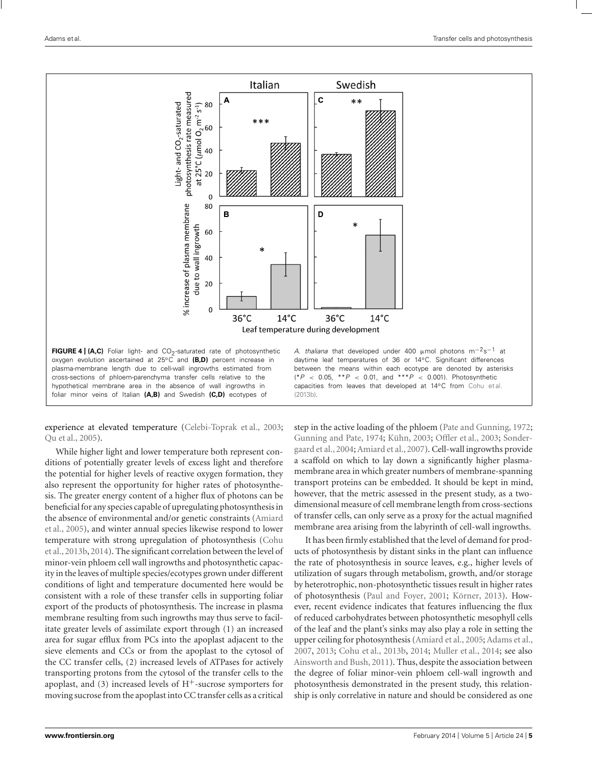

experience at elevated temperature (Celebi-Toprak et al., 2003; Qu et al., 2005).

While higher light and lower temperature both represent conditions of potentially greater levels of excess light and therefore the potential for higher levels of reactive oxygen formation, they also represent the opportunity for higher rates of photosynthesis. The greater energy content of a higher flux of photons can be beneficial for any species capable of upregulating photosynthesis in the absence of environmental and/or genetic constraints (Amiard et al., 2005), and winter annual species likewise respond to lower temperature with strong upregulation of photosynthesis (Cohu et al., 2013b, 2014). The significant correlation between the level of minor-vein phloem cell wall ingrowths and photosynthetic capacity in the leaves of multiple species/ecotypes grown under different conditions of light and temperature documented here would be consistent with a role of these transfer cells in supporting foliar export of the products of photosynthesis. The increase in plasma membrane resulting from such ingrowths may thus serve to facilitate greater levels of assimilate export through (1) an increased area for sugar efflux from PCs into the apoplast adjacent to the sieve elements and CCs or from the apoplast to the cytosol of the CC transfer cells, (2) increased levels of ATPases for actively transporting protons from the cytosol of the transfer cells to the apoplast, and  $(3)$  increased levels of H<sup>+</sup>-sucrose symporters for moving sucrose from the apoplast into CC transfer cells as a critical step in the active loading of the phloem (Pate and Gunning, 1972; Gunning and Pate, 1974; Kühn, 2003; Offler et al., 2003; Sondergaard et al., 2004; Amiard et al., 2007). Cell-wall ingrowths provide a scaffold on which to lay down a significantly higher plasmamembrane area in which greater numbers of membrane-spanning transport proteins can be embedded. It should be kept in mind, however, that the metric assessed in the present study, as a twodimensional measure of cell membrane length from cross-sections of transfer cells, can only serve as a proxy for the actual magnified membrane area arising from the labyrinth of cell-wall ingrowths.

It has been firmly established that the level of demand for products of photosynthesis by distant sinks in the plant can influence the rate of photosynthesis in source leaves, e.g., higher levels of utilization of sugars through metabolism, growth, and/or storage by heterotrophic, non-photosynthetic tissues result in higher rates of photosynthesis (Paul and Foyer, 2001; Körner, 2013). However, recent evidence indicates that features influencing the flux of reduced carbohydrates between photosynthetic mesophyll cells of the leaf and the plant's sinks may also play a role in setting the upper ceiling for photosynthesis (Amiard et al., 2005; Adams et al., 2007, 2013; Cohu et al., 2013b, 2014; Muller et al., 2014; see also Ainsworth and Bush, 2011). Thus, despite the association between the degree of foliar minor-vein phloem cell-wall ingrowth and photosynthesis demonstrated in the present study, this relationship is only correlative in nature and should be considered as one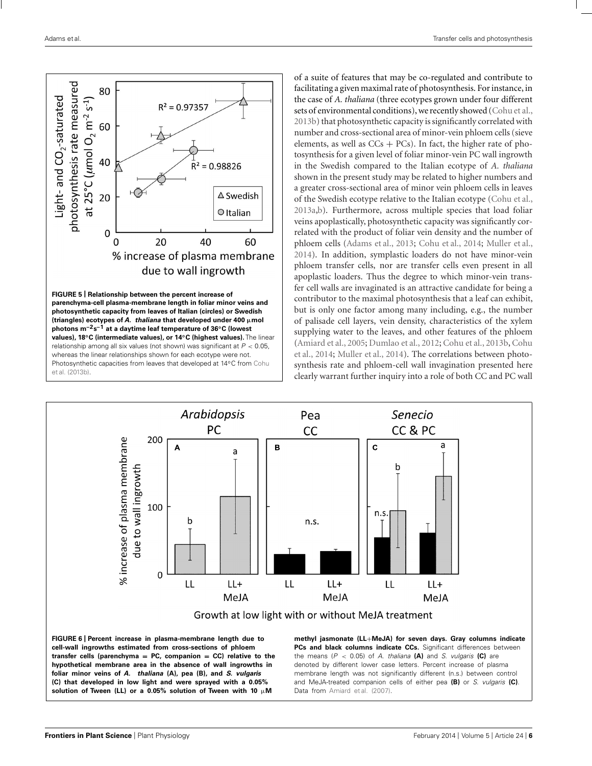

**parenchyma-cell plasma-membrane length in foliar minor veins and photosynthetic capacity from leaves of Italian (circles) or Swedish (triangles) ecotypes of** *A. thaliana* **that developed under 400 μmol photons m–2s–1 at a daytime leaf temperature of 36◦C (lowest values), 18◦C (intermediate values), or 14◦C (highest values).** The linear relationship among all six values (not shown) was significant at  $P < 0.05$ , whereas the linear relationships shown for each ecotype were not. Photosynthetic capacities from leaves that developed at 14◦C from Cohu et al. (2013b).

of a suite of features that may be co-regulated and contribute to facilitating a given maximal rate of photosynthesis. For instance, in the case of *A. thaliana* (three ecotypes grown under four different sets of environmental conditions), we recently showed (Cohu et al., 2013b) that photosynthetic capacity is significantly correlated with number and cross-sectional area of minor-vein phloem cells (sieve elements, as well as  $CCs + PCs$ ). In fact, the higher rate of photosynthesis for a given level of foliar minor-vein PC wall ingrowth in the Swedish compared to the Italian ecotype of *A. thaliana* shown in the present study may be related to higher numbers and a greater cross-sectional area of minor vein phloem cells in leaves of the Swedish ecotype relative to the Italian ecotype (Cohu et al., 2013a,b). Furthermore, across multiple species that load foliar veins apoplastically, photosynthetic capacity was significantly correlated with the product of foliar vein density and the number of phloem cells (Adams et al., 2013; Cohu et al., 2014; Muller et al., 2014). In addition, symplastic loaders do not have minor-vein phloem transfer cells, nor are transfer cells even present in all apoplastic loaders. Thus the degree to which minor-vein transfer cell walls are invaginated is an attractive candidate for being a contributor to the maximal photosynthesis that a leaf can exhibit, but is only one factor among many including, e.g., the number of palisade cell layers, vein density, characteristics of the xylem supplying water to the leaves, and other features of the phloem (Amiard et al., 2005; Dumlao et al., 2012; Cohu et al., 2013b, Cohu et al., 2014; Muller et al., 2014). The correlations between photosynthesis rate and phloem-cell wall invagination presented here clearly warrant further inquiry into a role of both CC and PC wall



**cell-wall ingrowths estimated from cross-sections of phloem transfer cells (parenchyma = PC, companion = CC) relative to the hypothetical membrane area in the absence of wall ingrowths in foliar minor veins of** *A. thaliana* **(A), pea (B), and** *S. vulgaris* **(C) that developed in low light and were sprayed with a 0.05% solution of Tween (LL) or a 0.05% solution of Tween with 10** μ**M**

PCs and black columns indicate CCs. Significant differences between the means  $(P < 0.05)$  of A. thaliana  $(A)$  and S. vulgaris  $(C)$  are denoted by different lower case letters. Percent increase of plasma membrane length was not significantly different (n.s.) between control and MeJA-treated companion cells of either pea **(B)** or S. vulgaris **(C)**. Data from Amiard et al. (2007).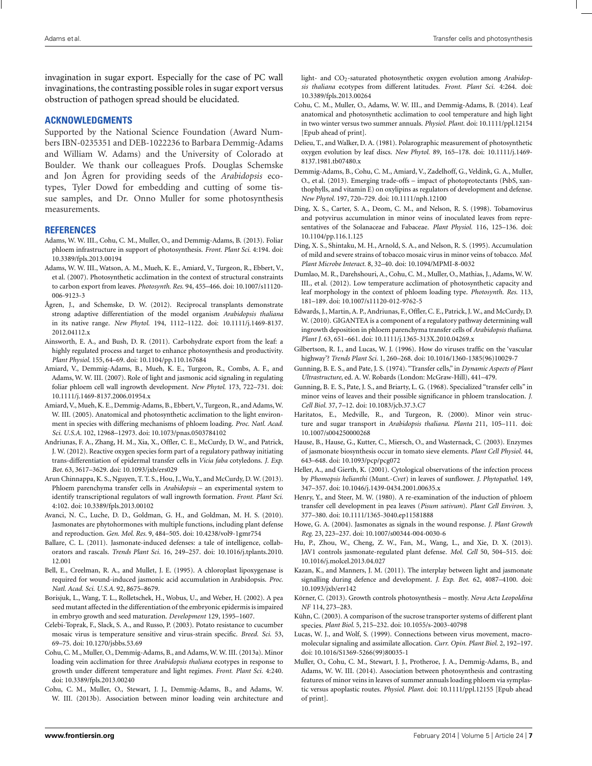invagination in sugar export. Especially for the case of PC wall invaginations, the contrasting possible roles in sugar export versus obstruction of pathogen spread should be elucidated.

## **ACKNOWLEDGMENTS**

Supported by the National Science Foundation (Award Numbers IBN-0235351 and DEB-1022236 to Barbara Demmig-Adams and William W. Adams) and the University of Colorado at Boulder. We thank our colleagues Profs. Douglas Schemske and Jon Ågren for providing seeds of the *Arabidopsis* ecotypes, Tyler Dowd for embedding and cutting of some tissue samples, and Dr. Onno Muller for some photosynthesis measurements.

#### **REFERENCES**

- Adams, W. W. III., Cohu, C. M., Muller, O., and Demmig-Adams, B. (2013). Foliar phloem infrastructure in support of photosynthesis. *Front. Plant Sci.* 4:194. doi: 10.3389/fpls.2013.00194
- Adams, W. W. III., Watson, A. M., Mueh, K. E., Amiard, V., Turgeon, R., Ebbert, V., et al. (2007). Photosynthetic acclimation in the context of structural constraints to carbon export from leaves. *Photosynth. Res.* 94, 455–466. doi: 10.1007/s11120- 006-9123-3
- Ågren, J., and Schemske, D. W. (2012). Reciprocal transplants demonstrate strong adaptive differentiation of the model organism *Arabidopsis thaliana* in its native range. *New Phytol.* 194, 1112–1122. doi: 10.1111/j.1469-8137. 2012.04112.x
- Ainsworth, E. A., and Bush, D. R. (2011). Carbohydrate export from the leaf: a highly regulated process and target to enhance photosynthesis and productivity. *Plant Physiol.* 155, 64–69. doi: 10.1104/pp.110.167684
- Amiard, V., Demmig-Adams, B., Mueh, K. E., Turgeon, R., Combs, A. F., and Adams, W. W. III. (2007). Role of light and jasmonic acid signaling in regulating foliar phloem cell wall ingrowth development. *New Phytol.* 173, 722–731. doi: 10.1111/j.1469-8137.2006.01954.x
- Amiard, V., Mueh, K. E., Demmig-Adams, B., Ebbert, V., Turgeon, R., and Adams, W. W. III. (2005). Anatomical and photosynthetic acclimation to the light environment in species with differing mechanisms of phloem loading. *Proc. Natl. Acad. Sci. U.S.A.* 102, 12968–12973. doi: 10.1073/pnas.0503784102
- Andriunas, F. A., Zhang, H. M., Xia, X., Offler, C. E., McCurdy, D. W., and Patrick, J. W. (2012). Reactive oxygen species form part of a regulatory pathway initiating trans-differentiation of epidermal transfer cells in *Vicia faba* cotyledons. *J. Exp. Bot.* 63, 3617–3629. doi: 10.1093/jxb/ers029
- Arun Chinnappa, K. S., Nguyen, T. T. S., Hou, J.,Wu, Y., and McCurdy, D. W. (2013). Phloem parenchyma transfer cells in *Arabidopsis* – an experimental system to identify transcriptional regulators of wall ingrowth formation. *Front. Plant Sci.* 4:102. doi: 10.3389/fpls.2013.00102
- Avanci, N. C., Luche, D. D., Goldman, G. H., and Goldman, M. H. S. (2010). Jasmonates are phytohormones with multiple functions, including plant defense and reproduction. *Gen. Mol. Res.* 9, 484–505. doi: 10.4238/vol9-1gmr754
- Ballare, C. L. (2011). Jasmonate-induced defenses: a tale of intelligence, collaborators and rascals. *Trends Plant Sci.* 16, 249–257. doi: 10.1016/j.tplants.2010. 12.001
- Bell, E., Creelman, R. A., and Mullet, J. E. (1995). A chloroplast lipoxygenase is required for wound-induced jasmonic acid accumulation in Arabidopsis. *Proc. Natl. Acad. Sci. U.S.A.* 92, 8675–8679.
- Borisjuk, L., Wang, T. L., Rolletschek, H., Wobus, U., and Weber, H. (2002). A pea seed mutant affected in the differentiation of the embryonic epidermis is impaired in embryo growth and seed maturation. *Development* 129, 1595–1607.
- Celebi-Toprak, F., Slack, S. A., and Russo, P. (2003). Potato resistance to cucumber mosaic virus is temperature sensitive and virus-strain specific. *Breed. Sci.* 53, 69–75. doi: 10.1270/jsbbs.53.69
- Cohu, C. M., Muller, O., Demmig-Adams, B., and Adams, W. W. III. (2013a). Minor loading vein acclimation for three *Arabidopsis thaliana* ecotypes in response to growth under different temperature and light regimes. *Front. Plant Sci.* 4:240. doi: 10.3389/fpls.2013.00240
- Cohu, C. M., Muller, O., Stewart, J. J., Demmig-Adams, B., and Adams, W. W. III. (2013b). Association between minor loading vein architecture and

light- and CO<sub>2</sub>-saturated photosynthetic oxygen evolution among Arabidop*sis thaliana* ecotypes from different latitudes. *Front. Plant Sci.* 4:264. doi: 10.3389/fpls.2013.00264

- Cohu, C. M., Muller, O., Adams, W. W. III., and Demmig-Adams, B. (2014). Leaf anatomical and photosynthetic acclimation to cool temperature and high light in two winter versus two summer annuals. *Physiol. Plant.* doi: 10.1111/ppl.12154 [Epub ahead of print].
- Delieu, T., and Walker, D. A. (1981). Polarographic measurement of photosynthetic oxygen evolution by leaf discs. *New Phytol.* 89, 165–178. doi: 10.1111/j.1469- 8137.1981.tb07480.x
- Demmig-Adams, B., Cohu, C. M., Amiard, V., Zadelhoff, G., Veldink, G. A., Muller, O., et al. (2013). Emerging trade-offs – impact of photoprotectants (PsbS, xanthophylls, and vitamin E) on oxylipins as regulators of development and defense. *New Phytol.* 197, 720–729. doi: 10.1111/nph.12100
- Ding, X. S., Carter, S. A., Deom, C. M., and Nelson, R. S. (1998). Tobamovirus and potyvirus accumulation in minor veins of inoculated leaves from representatives of the Solanaceae and Fabaceae. *Plant Physiol.* 116, 125–136. doi: 10.1104/pp.116.1.125
- Ding, X. S., Shintaku, M. H., Arnold, S. A., and Nelson, R. S. (1995). Accumulation of mild and severe strains of tobacco mosaic virus in minor veins of tobacco. *Mol. Plant Microbe Interact.* 8, 32–40. doi: 10.1094/MPMI-8-0032
- Dumlao, M. R., Darehshouri, A., Cohu, C. M., Muller, O., Mathias, J., Adams, W. W. III., et al. (2012). Low temperature acclimation of photosynthetic capacity and leaf morphology in the context of phloem loading type. *Photosynth. Res.* 113, 181–189. doi: 10.1007/s11120-012-9762-5
- Edwards, J., Martin, A. P., Andriunas, F., Offler, C. E., Patrick, J. W., and McCurdy, D. W. (2010). GIGANTEA is a component of a regulatory pathway determining wall ingrowth deposition in phloem parenchyma transfer cells of *Arabidopsis thaliana*. *Plant J.* 63, 651–661. doi: 10.1111/j.1365-313X.2010.04269.x
- Gilbertson, R. I., and Lucas, W. J. (1996). How do viruses traffic on the 'vascular highway'? *Trends Plant Sci.* 1, 260–268. doi: 10.1016/1360-1385(96)10029-7
- Gunning, B. E. S., and Pate, J. S. (1974). "Transfer cells," in *Dynamic Aspects of Plant Ultrastructure*, ed. A. W. Robards (London: McGraw-Hill), 441–479.
- Gunning, B. E. S., Pate, J. S., and Briarty, L. G. (1968). Specialized "transfer cells" in minor veins of leaves and their possible significance in phloem translocation. *J. Cell Biol.* 37, 7–12. doi: 10.1083/jcb.37.3.C7
- Haritatos, E., Medville, R., and Turgeon, R. (2000). Minor vein structure and sugar transport in *Arabidopsis thaliana*. *Planta* 211, 105–111. doi: 10.1007/s004250000268
- Hause, B., Hause, G., Kutter, C., Miersch, O., and Wasternack, C. (2003). Enzymes of jasmonate biosynthesis occur in tomato sieve elements. *Plant Cell Physiol.* 44, 643–648. doi: 10.1093/pcp/pcg072
- Heller, A., and Gierth, K. (2001). Cytological observations of the infection process by *Phomopsis helianthi* (Munt.-*Cvet*) in leaves of sunflower. *J. Phytopathol.* 149, 347–357. doi: 10.1046/j.1439-0434.2001.00635.x
- Henry, Y., and Steer, M. W. (1980). A re-examination of the induction of phloem transfer cell development in pea leaves (*Pisum sativum*). *Plant Cell Environ.* 3, 377–380. doi: 10.1111/1365-3040.ep11581888
- Howe, G. A. (2004). Jasmonates as signals in the wound response. *J. Plant Growth Reg.* 23, 223–237. doi: 10.1007/s00344-004-0030-6
- Hu, P., Zhou, W., Cheng, Z. W., Fan, M., Wang, L., and Xie, D. X. (2013). JAV1 controls jasmonate-regulated plant defense. *Mol. Cell* 50, 504–515. doi: 10.1016/j.molcel.2013.04.027
- Kazan, K., and Manners, J. M. (2011). The interplay between light and jasmonate signalling during defence and development. *J. Exp. Bot.* 62, 4087–4100. doi: 10.1093/jxb/err142
- Körner, C. (2013). Growth controls photosynthesis mostly. *Nova Acta Leopoldina NF* 114, 273–283.
- Kühn, C. (2003). A comparison of the sucrose transporter systems of different plant species. *Plant Biol.* 5, 215–232. doi: 10.1055/s-2003-40798
- Lucas, W. J., and Wolf, S. (1999). Connections between virus movement, macromolecular signaling and assimilate allocation. *Curr. Opin. Plant Biol.* 2, 192–197. doi: 10.1016/S1369-5266(99)80035-1
- Muller, O., Cohu, C. M., Stewart, J. J., Protheroe, J. A., Demmig-Adams, B., and Adams, W. W. III. (2014). Association between photosynthesis and contrasting features of minor veins in leaves of summer annuals loading phloem via symplastic versus apoplastic routes. *Physiol. Plant.* doi: 10.1111/ppl.12155 [Epub ahead of print].